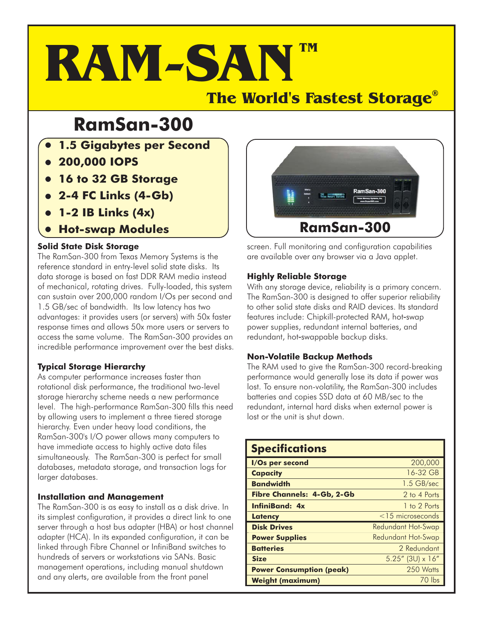# **RAM-SAN The World's Fastest Storage® TM**

# **RamSan-300**

- **1.5 Gigabytes per Second**
- **200,000 IOPS**
- **16 to 32 GB Storage**
- **2-4 FC Links (4-Gb)**
- **1-2 IB Links (4x)**
- **Hot-swap Modules**

# **Solid State Disk Storage**

The RamSan-300 from Texas Memory Systems is the are available over any browser via a Java applet. reference standard in entry-level solid state disks. Its data storage is based on fast DDR RAM media instead of mechanical, rotating drives. Fully-loaded, this system can sustain over 200,000 random I/Os per second and 1.5 GB/sec of bandwidth. Its low latency has two advantages: it provides users (or servers) with 50x faster response times and allows 50x more users or servers to access the same volume. The RamSan-300 provides an incredible performance improvement over the best disks.

# **Typical Storage Hierarchy**

As computer performance increases faster than rotational disk performance, the traditional two-level storage hierarchy scheme needs a new performance level. The high-performance RamSan-300 fills this need by allowing users to implement a three tiered storage hierarchy. Even under heavy load conditions, the RamSan-300's I/O power allows many computers to have immediate access to highly active data files simultaneously. The RamSan-300 is perfect for small databases, metadata storage, and transaction logs for larger databases.

# **Installation and Management**

The RamSan-300 is as easy to install as a disk drive. In its simplest configuration, it provides a direct link to one server through a host bus adapter (HBA) or host channel adapter (HCA). In its expanded configuration, it can be linked through Fibre Channel or InfiniBand switches to hundreds of servers or workstations via SANs. Basic management operations, including manual shutdown and any alerts, are available from the front panel



screen. Full monitoring and configuration capabilities

# **Highly Reliable Storage**

With any storage device, reliability is a primary concern. The RamSan-300 is designed to offer superior reliability to other solid state disks and RAID devices. Its standard features include: Chipkill-protected RAM, hot-swap power supplies, redundant internal batteries, and redundant, hot swappable backup disks. -

# **Non-Volatile Backup Methods**

The RAM used to give the RamSan-300 record-breaking performance would generally lose its data if power was lost. To ensure non-volatility, the RamSan-300 includes batteries and copies SSD data at 60 MB/sec to the redundant, internal hard disks when external power is lost or the unit is shut down.

| <b>Specifications</b>             |                           |
|-----------------------------------|---------------------------|
| I/Os per second                   | 200,000                   |
| <b>Capacity</b>                   | 16-32 GB                  |
| <b>Bandwidth</b>                  | 1.5 GB/sec                |
| <b>Fibre Channels: 4-Gb, 2-Gb</b> | 2 to 4 Ports              |
| <b>InfiniBand: 4x</b>             | 1 to 2 Ports              |
| <b>Latency</b>                    | $<$ 15 microseconds       |
| <b>Disk Drives</b>                | <b>Redundant Hot-Swap</b> |
| <b>Power Supplies</b>             | <b>Redundant Hot-Swap</b> |
| <b>Batteries</b>                  | 2 Redundant               |
| <b>Size</b>                       | 5.25" (3U) x 16"          |
| <b>Power Consumption (peak)</b>   | 250 Watts                 |
| <b>Weight (maximum)</b>           | 70 lbs                    |